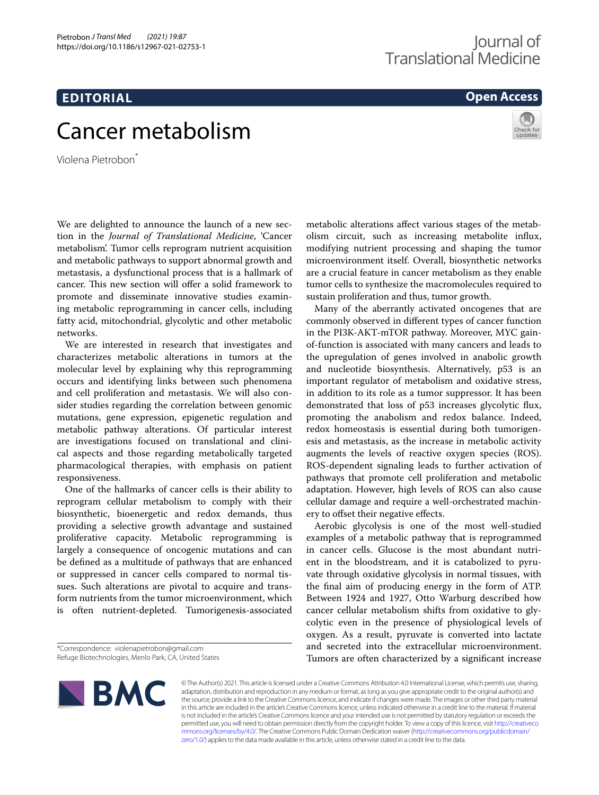# **EDITORIAL**

# **Open Access**



# Cancer metabolism

Violena Pietrobon\*

We are delighted to announce the launch of a new section in the *Journal of Translational Medicine*, 'Cancer metabolism'. Tumor cells reprogram nutrient acquisition and metabolic pathways to support abnormal growth and metastasis, a dysfunctional process that is a hallmark of cancer. This new section will offer a solid framework to promote and disseminate innovative studies examining metabolic reprogramming in cancer cells, including fatty acid, mitochondrial, glycolytic and other metabolic networks.

We are interested in research that investigates and characterizes metabolic alterations in tumors at the molecular level by explaining why this reprogramming occurs and identifying links between such phenomena and cell proliferation and metastasis. We will also consider studies regarding the correlation between genomic mutations, gene expression, epigenetic regulation and metabolic pathway alterations. Of particular interest are investigations focused on translational and clinical aspects and those regarding metabolically targeted pharmacological therapies, with emphasis on patient responsiveness.

One of the hallmarks of cancer cells is their ability to reprogram cellular metabolism to comply with their biosynthetic, bioenergetic and redox demands, thus providing a selective growth advantage and sustained proliferative capacity. Metabolic reprogramming is largely a consequence of oncogenic mutations and can be defned as a multitude of pathways that are enhanced or suppressed in cancer cells compared to normal tissues. Such alterations are pivotal to acquire and transform nutrients from the tumor microenvironment, which is often nutrient-depleted. Tumorigenesis-associated

metabolic alterations afect various stages of the metabolism circuit, such as increasing metabolite infux, modifying nutrient processing and shaping the tumor microenvironment itself. Overall, biosynthetic networks are a crucial feature in cancer metabolism as they enable tumor cells to synthesize the macromolecules required to sustain proliferation and thus, tumor growth.

Many of the aberrantly activated oncogenes that are commonly observed in diferent types of cancer function in the PI3K-AKT-mTOR pathway. Moreover, MYC gainof-function is associated with many cancers and leads to the upregulation of genes involved in anabolic growth and nucleotide biosynthesis. Alternatively, p53 is an important regulator of metabolism and oxidative stress, in addition to its role as a tumor suppressor. It has been demonstrated that loss of p53 increases glycolytic fux, promoting the anabolism and redox balance. Indeed, redox homeostasis is essential during both tumorigenesis and metastasis, as the increase in metabolic activity augments the levels of reactive oxygen species (ROS). ROS-dependent signaling leads to further activation of pathways that promote cell proliferation and metabolic adaptation. However, high levels of ROS can also cause cellular damage and require a well-orchestrated machinery to ofset their negative efects.

Aerobic glycolysis is one of the most well-studied examples of a metabolic pathway that is reprogrammed in cancer cells. Glucose is the most abundant nutrient in the bloodstream, and it is catabolized to pyruvate through oxidative glycolysis in normal tissues, with the fnal aim of producing energy in the form of ATP. Between 1924 and 1927, Otto Warburg described how cancer cellular metabolism shifts from oxidative to glycolytic even in the presence of physiological levels of oxygen. As a result, pyruvate is converted into lactate and secreted into the extracellular microenvironment. Tumors are often characterized by a signifcant increase



© The Author(s) 2021. This article is licensed under a Creative Commons Attribution 4.0 International License, which permits use, sharing, adaptation, distribution and reproduction in any medium or format, as long as you give appropriate credit to the original author(s) and the source, provide a link to the Creative Commons licence, and indicate if changes were made. The images or other third party material in this article are included in the article's Creative Commons licence, unless indicated otherwise in a credit line to the material. If material is not included in the article's Creative Commons licence and your intended use is not permitted by statutory regulation or exceeds the permitted use, you will need to obtain permission directly from the copyright holder. To view a copy of this licence, visit [http://creativeco](http://creativecommons.org/licenses/by/4.0/) [mmons.org/licenses/by/4.0/.](http://creativecommons.org/licenses/by/4.0/) The Creative Commons Public Domain Dedication waiver ([http://creativecommons.org/publicdomain/](http://creativecommons.org/publicdomain/zero/1.0/) [zero/1.0/\)](http://creativecommons.org/publicdomain/zero/1.0/) applies to the data made available in this article, unless otherwise stated in a credit line to the data.

<sup>\*</sup>Correspondence: violenapietrobon@gmail.com Refuge Biotechnologies, Menlo Park, CA, United States